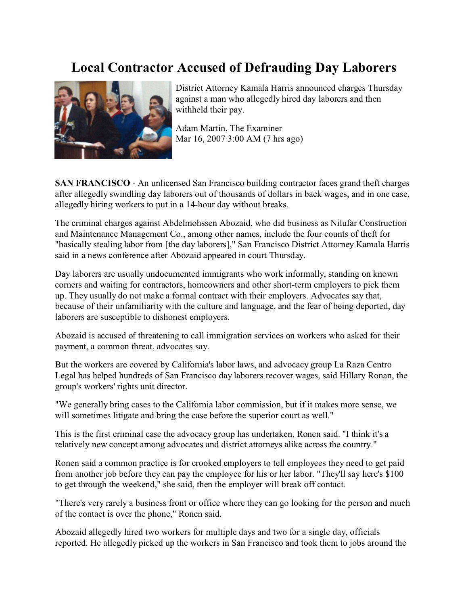## **Local Contractor Accused of Defrauding Day Laborers**



District Attorney Kamala Harris announced charges Thursday against a man who allegedly hired day laborers and then withheld their pay.

Adam Martin, The Examiner Mar 16, 2007 3:00 AM (7 hrs ago)

**SAN FRANCISCO** - An unlicensed San Francisco building contractor faces grand theft charges after allegedly swindling day laborers out of thousands of dollars in back wages, and in one case, allegedly hiring workers to put in a 14-hour day without breaks.

The criminal charges against Abdelmohssen Abozaid, who did business as Nilufar Construction and Maintenance Management Co., among other names, include the four counts of theft for "basically stealing labor from [the day laborers]," San Francisco District Attorney Kamala Harris said in a news conference after Abozaid appeared in court Thursday.

Day laborers are usually undocumented immigrants who work informally, standing on known corners and waiting for contractors, homeowners and other short-term employers to pick them up. They usually do not make a formal contract with their employers. Advocates say that, because of their unfamiliarity with the culture and language, and the fear of being deported, day laborers are susceptible to dishonest employers.

Abozaid is accused of threatening to call immigration services on workers who asked for their payment, a common threat, advocates say.

But the workers are covered by California's labor laws, and advocacy group La Raza Centro Legal has helped hundreds of San Francisco day laborers recover wages, said Hillary Ronan, the group's workers' rights unit director.

"We generally bring cases to the California labor commission, but if it makes more sense, we will sometimes litigate and bring the case before the superior court as well."

This is the first criminal case the advocacy group has undertaken, Ronen said. "I think it's a relatively new concept among advocates and district attorneys alike across the country."

Ronen said a common practice is for crooked employers to tell employees they need to get paid from another job before they can pay the employee for his or her labor. "They'll say here's \$100 to get through the weekend," she said, then the employer will break off contact.

"There's very rarely a business front or office where they can go looking for the person and much of the contact is over the phone," Ronen said.

Abozaid allegedly hired two workers for multiple days and two for a single day, officials reported. He allegedly picked up the workers in San Francisco and took them to jobs around the